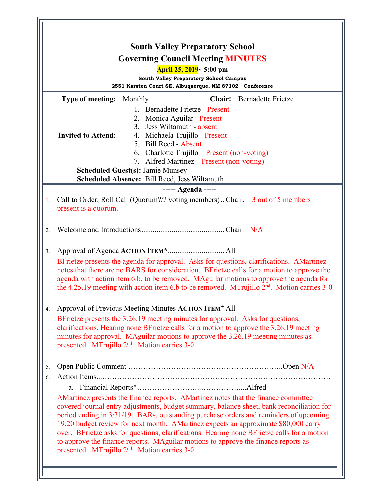| <b>South Valley Preparatory School</b><br><b>Governing Council Meeting MINUTES</b><br>April 25, 2019~5:00 pm |                                                                                                                                                                                                                                                                                                                                                                                            |                                                                                                                                                                                                                                                                                                                                                                                                                                                                                                                                                                                                                   |                                                                                                          |                                 |                                  |
|--------------------------------------------------------------------------------------------------------------|--------------------------------------------------------------------------------------------------------------------------------------------------------------------------------------------------------------------------------------------------------------------------------------------------------------------------------------------------------------------------------------------|-------------------------------------------------------------------------------------------------------------------------------------------------------------------------------------------------------------------------------------------------------------------------------------------------------------------------------------------------------------------------------------------------------------------------------------------------------------------------------------------------------------------------------------------------------------------------------------------------------------------|----------------------------------------------------------------------------------------------------------|---------------------------------|----------------------------------|
|                                                                                                              |                                                                                                                                                                                                                                                                                                                                                                                            |                                                                                                                                                                                                                                                                                                                                                                                                                                                                                                                                                                                                                   | <b>South Valley Preparatory School Campus</b><br>2551 Karsten Court SE, Albuquerque, NM 87102 Conference |                                 |                                  |
|                                                                                                              |                                                                                                                                                                                                                                                                                                                                                                                            |                                                                                                                                                                                                                                                                                                                                                                                                                                                                                                                                                                                                                   |                                                                                                          | <b>Type of meeting:</b> Monthly | <b>Chair:</b> Bernadette Frietze |
|                                                                                                              |                                                                                                                                                                                                                                                                                                                                                                                            | 1. Bernadette Frietze - Present                                                                                                                                                                                                                                                                                                                                                                                                                                                                                                                                                                                   |                                                                                                          |                                 |                                  |
|                                                                                                              |                                                                                                                                                                                                                                                                                                                                                                                            | 2. Monica Aguilar - Present                                                                                                                                                                                                                                                                                                                                                                                                                                                                                                                                                                                       |                                                                                                          |                                 |                                  |
|                                                                                                              | <b>Invited to Attend:</b>                                                                                                                                                                                                                                                                                                                                                                  | 3. Jess Wiltamuth - absent<br>4. Michaela Trujillo - Present                                                                                                                                                                                                                                                                                                                                                                                                                                                                                                                                                      |                                                                                                          |                                 |                                  |
|                                                                                                              |                                                                                                                                                                                                                                                                                                                                                                                            | 5. Bill Reed - Absent                                                                                                                                                                                                                                                                                                                                                                                                                                                                                                                                                                                             |                                                                                                          |                                 |                                  |
|                                                                                                              |                                                                                                                                                                                                                                                                                                                                                                                            | 6. Charlotte Trujillo – Present (non-voting)                                                                                                                                                                                                                                                                                                                                                                                                                                                                                                                                                                      |                                                                                                          |                                 |                                  |
|                                                                                                              |                                                                                                                                                                                                                                                                                                                                                                                            | 7. Alfred Martinez - Present (non-voting)                                                                                                                                                                                                                                                                                                                                                                                                                                                                                                                                                                         |                                                                                                          |                                 |                                  |
|                                                                                                              |                                                                                                                                                                                                                                                                                                                                                                                            | <b>Scheduled Guest(s): Jamie Munsey</b><br><b>Scheduled Absence: Bill Reed, Jess Wiltamuth</b>                                                                                                                                                                                                                                                                                                                                                                                                                                                                                                                    |                                                                                                          |                                 |                                  |
| ----- Agenda -----                                                                                           |                                                                                                                                                                                                                                                                                                                                                                                            |                                                                                                                                                                                                                                                                                                                                                                                                                                                                                                                                                                                                                   |                                                                                                          |                                 |                                  |
| 1.                                                                                                           | present is a quorum.                                                                                                                                                                                                                                                                                                                                                                       | Call to Order, Roll Call (Quorum?/? voting members) Chair. $-3$ out of 5 members                                                                                                                                                                                                                                                                                                                                                                                                                                                                                                                                  |                                                                                                          |                                 |                                  |
| 2.                                                                                                           |                                                                                                                                                                                                                                                                                                                                                                                            |                                                                                                                                                                                                                                                                                                                                                                                                                                                                                                                                                                                                                   |                                                                                                          |                                 |                                  |
| 3.                                                                                                           | BFrietze presents the agenda for approval. Asks for questions, clarifications. AMartinez<br>notes that there are no BARS for consideration. BFrietze calls for a motion to approve the<br>agenda with action item 6.b. to be removed. MAguilar motions to approve the agenda for<br>the 4.25.19 meeting with action item 6.b to be removed. MTrujillo 2 <sup>nd</sup> . Motion carries 3-0 |                                                                                                                                                                                                                                                                                                                                                                                                                                                                                                                                                                                                                   |                                                                                                          |                                 |                                  |
| 4.                                                                                                           | Approval of Previous Meeting Minutes ACTION ITEM* All                                                                                                                                                                                                                                                                                                                                      |                                                                                                                                                                                                                                                                                                                                                                                                                                                                                                                                                                                                                   |                                                                                                          |                                 |                                  |
|                                                                                                              | BFrietze presents the 3.26.19 meeting minutes for approval. Asks for questions,<br>clarifications. Hearing none BFrietze calls for a motion to approve the 3.26.19 meeting<br>minutes for approval. MAguilar motions to approve the 3.26.19 meeting minutes as<br>presented. MTrujillo 2 <sup>nd</sup> . Motion carries 3-0                                                                |                                                                                                                                                                                                                                                                                                                                                                                                                                                                                                                                                                                                                   |                                                                                                          |                                 |                                  |
| 5.                                                                                                           |                                                                                                                                                                                                                                                                                                                                                                                            |                                                                                                                                                                                                                                                                                                                                                                                                                                                                                                                                                                                                                   |                                                                                                          |                                 |                                  |
| 6.                                                                                                           |                                                                                                                                                                                                                                                                                                                                                                                            |                                                                                                                                                                                                                                                                                                                                                                                                                                                                                                                                                                                                                   |                                                                                                          |                                 |                                  |
|                                                                                                              |                                                                                                                                                                                                                                                                                                                                                                                            | AMartinez presents the finance reports. AMartinez notes that the finance committee<br>covered journal entry adjustments, budget summary, balance sheet, bank reconciliation for<br>period ending in 3/31/19. BARs, outstanding purchase orders and reminders of upcoming<br>19.20 budget review for next month. AMartinez expects an approximate \$80,000 carry<br>over. BFrietze asks for questions, clarifications. Hearing none BFrietze calls for a motion<br>to approve the finance reports. MAguilar motions to approve the finance reports as<br>presented. MTrujillo 2 <sup>nd</sup> . Motion carries 3-0 |                                                                                                          |                                 |                                  |
|                                                                                                              |                                                                                                                                                                                                                                                                                                                                                                                            |                                                                                                                                                                                                                                                                                                                                                                                                                                                                                                                                                                                                                   |                                                                                                          |                                 |                                  |